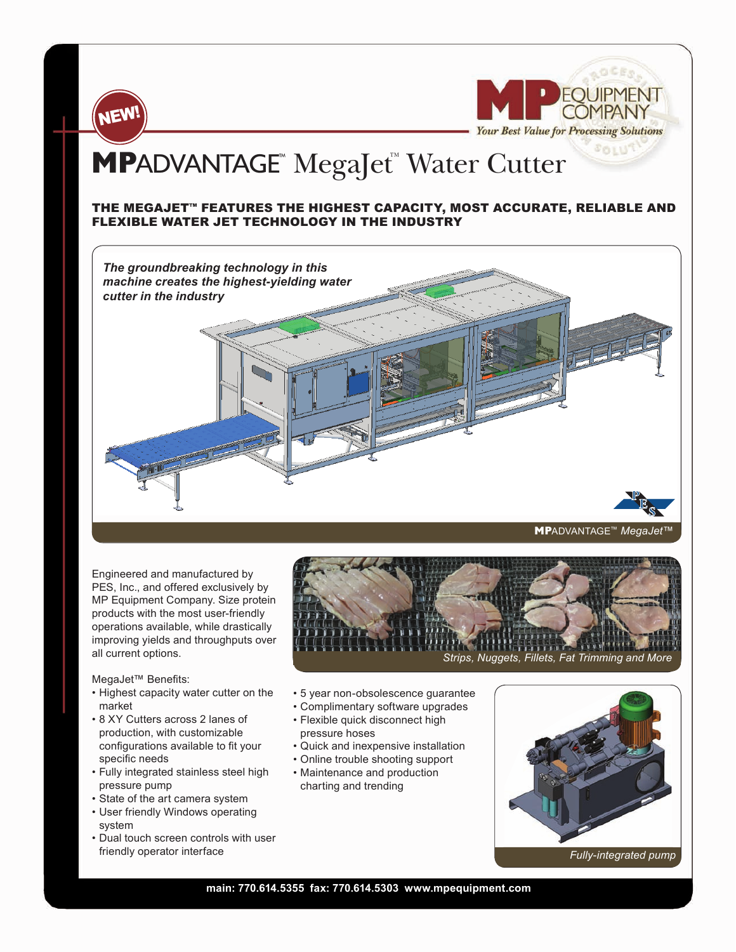

**FOUIPMENT** - Your Best Value for Processing Solutions

## **MPADVANTAGE<sup>™</sup> MegaJet<sup>™</sup> Water Cutter**

## THE MEGAJET™ FEATURES THE HIGHEST CAPACITY, MOST ACCURATE, RELIABLE AND FLEXIBLE WATER JET TECHNOLOGY IN THE INDUSTRY



Engineered and manufactured by PES, Inc., and offered exclusively by MP Equipment Company. Size protein products with the most user-friendly operations available, while drastically improving yields and throughputs over all current options.

MegaJet™ Benefits:

- Highest capacity water cutter on the market
- 8 XY Cutters across 2 lanes of production, with customizable configurations available to fit your specific needs
- Fully integrated stainless steel high pressure pump
- State of the art camera system
- User friendly Windows operating system
- Dual touch screen controls with user friendly operator interface



- 5 year non-obsolescence guarantee
- Complimentary software upgrades
- Flexible quick disconnect high pressure hoses
- Quick and inexpensive installation
- Online trouble shooting support
- Maintenance and production charting and trending



 *Fully-integrated pump* 

## **main: 770.614.5355 fax: 770.614.5303 www.mpequipment.com**